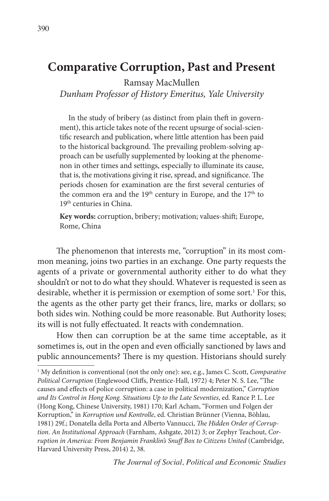Ramsay MacMullen

*Dunham Professor of History Emeritus, Yale University*

In the study of bribery (as distinct from plain theft in government), this article takes note of the recent upsurge of social-scientific research and publication, where little attention has been paid to the historical background. The prevailing problem-solving approach can be usefully supplemented by looking at the phenomenon in other times and settings, especially to illuminate its cause, that is, the motivations giving it rise, spread, and significance. The periods chosen for examination are the first several centuries of the common era and the 19<sup>th</sup> century in Europe, and the 17<sup>th</sup> to 19<sup>th</sup> centuries in China.

**Key words:** corruption, bribery; motivation; values-shift; Europe, Rome, China

The phenomenon that interests me, "corruption" in its most common meaning, joins two parties in an exchange. One party requests the agents of a private or governmental authority either to do what they shouldn't or not to do what they should. Whatever is requested is seen as desirable, whether it is permission or exemption of some sort.<sup>1</sup> For this, the agents as the other party get their francs, lire, marks or dollars; so both sides win. Nothing could be more reasonable. But Authority loses; its will is not fully effectuated. It reacts with condemnation.

How then can corruption be at the same time acceptable, as it sometimes is, out in the open and even officially sanctioned by laws and public announcements? There is my question. Historians should surely

<sup>1</sup> My definition is conventional (not the only one): see, e.g., James C. Scott, *Comparative Political Corruption* (Englewood Cliffs, Prentice-Hall, 1972) 4; Peter N. S. Lee, "The causes and effects of police corruption: a case in political modernization," *Corruption and Its Control in Hong Kong. Situations Up to the Late Seventies*, ed. Rance P. L. Lee (Hong Kong, Chinese University, 1981) 170; Karl Acham, "Formen und Folgen der Korruption," in *Korruption und Kontrolle*, ed. Christian Brünner (Vienna, Böhlau, 1981) 29f.; Donatella della Porta and Alberto Vannucci, *The Hidden Order of Corruption. An Institutional Approach* (Farnham, Ashgate, 2012) 3; or Zephyr Teachout, *Corruption in America: From Benjamin Franklin's Snuff Box to Citizens United* (Cambridge, Harvard University Press, 2014) 2, 38.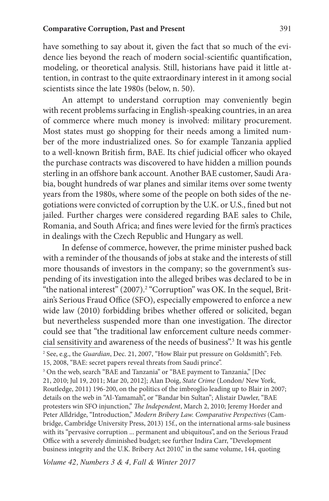have something to say about it, given the fact that so much of the evidence lies beyond the reach of modern social-scientific quantification, modeling, or theoretical analysis. Still, historians have paid it little attention, in contrast to the quite extraordinary interest in it among social scientists since the late 1980s (below, n. 50).

An attempt to understand corruption may conveniently begin with recent problems surfacing in English-speaking countries, in an area of commerce where much money is involved: military procurement. Most states must go shopping for their needs among a limited number of the more industrialized ones. So for example Tanzania applied to a well-known British firm, BAE. Its chief judicial officer who okayed the purchase contracts was discovered to have hidden a million pounds sterling in an offshore bank account. Another BAE customer, Saudi Arabia, bought hundreds of war planes and similar items over some twenty years from the 1980s, where some of the people on both sides of the negotiations were convicted of corruption by the U.K. or U.S., fined but not jailed. Further charges were considered regarding BAE sales to Chile, Romania, and South Africa; and fines were levied for the firm's practices in dealings with the Czech Republic and Hungary as well.

In defense of commerce, however, the prime minister pushed back with a reminder of the thousands of jobs at stake and the interests of still more thousands of investors in the company; so the government's suspending of its investigation into the alleged bribes was declared to be in "the national interest"  $(2007)$ .<sup>2</sup> "Corruption" was OK. In the sequel, Britain's Serious Fraud Office (SFO), especially empowered to enforce a new wide law (2010) forbidding bribes whether offered or solicited, began but nevertheless suspended more than one investigation. The director could see that "the traditional law enforcement culture needs commercial sensitivity and awareness of the needs of business".3 It was his gentle

<sup>2</sup> See, e.g., the *Guardian*, Dec. 21, 2007, "How Blair put pressure on Goldsmith"; Feb. 15, 2008, "BAE: secret papers reveal threats from Saudi prince".

<sup>&</sup>lt;sup>3</sup> On the web, search "BAE and Tanzania" or "BAE payment to Tanzania," [Dec 21, 2010; Jul 19, 2011; Mar 20, 2012]; Alan Doig, *State Crime* (London/ New York, Routledge, 2011) 196-200, on the politics of the imbroglio leading up to Blair in 2007; details on the web in "Al-Yamamah", or "Bandar bin Sultan"; Alistair Dawler, "BAE protesters win SFO injunction," *The Independent*, March 2, 2010; Jeremy Horder and Peter Alldridge, "Introduction," *Modern Bribery Law. Comparative Perspectives* (Cambridge, Cambridge University Press, 2013) 15f., on the international arms-sale business with its "pervasive corruption ... permanent and ubiquitous", and on the Serious Fraud Office with a severely diminished budget; see further Indira Carr, "Development business integrity and the U.K. Bribery Act 2010," in the same volume, 144, quoting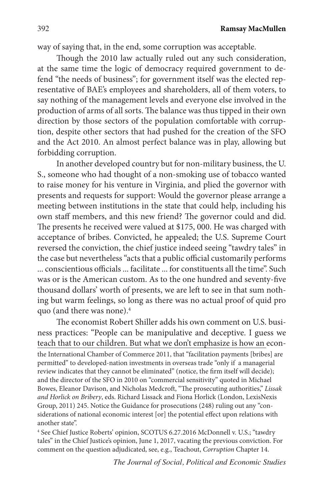way of saying that, in the end, some corruption was acceptable.

Though the 2010 law actually ruled out any such consideration, at the same time the logic of democracy required government to defend "the needs of business"; for government itself was the elected representative of BAE's employees and shareholders, all of them voters, to say nothing of the management levels and everyone else involved in the production of arms of all sorts. The balance was thus tipped in their own direction by those sectors of the population comfortable with corruption, despite other sectors that had pushed for the creation of the SFO and the Act 2010. An almost perfect balance was in play, allowing but forbidding corruption.

In another developed country but for non-military business, the U. S., someone who had thought of a non-smoking use of tobacco wanted to raise money for his venture in Virginia, and plied the governor with presents and requests for support: Would the governor please arrange a meeting between institutions in the state that could help, including his own staff members, and this new friend? The governor could and did. The presents he received were valued at \$175, 000. He was charged with acceptance of bribes. Convicted, he appealed; the U.S. Supreme Court reversed the conviction, the chief justice indeed seeing "tawdry tales" in the case but nevertheless "acts that a public official customarily performs ... conscientious officials ... facilitate ... for constituents all the time". Such was or is the American custom. As to the one hundred and seventy-five thousand dollars' worth of presents, we are left to see in that sum nothing but warm feelings, so long as there was no actual proof of quid pro quo (and there was none).4

The economist Robert Shiller adds his own comment on U.S. business practices: "People can be manipulative and deceptive. I guess we teach that to our children. But what we don't emphasize is how an econthe International Chamber of Commerce 2011, that "facilitation payments [bribes] are permitted" to developed-nation investments in overseas trade "only if a managerial review indicates that they cannot be eliminated" (notice, the firm itself will decide); and the director of the SFO in 2010 on "commercial sensitivity" quoted in Michael Bowes, Eleanor Davison, and Nicholas Medcroft, "The prosecuting authorities," *Lissak and Horlick on Bribery*, eds. Richard Lissack and Fiona Horlick (London, LexisNexis Group, 2011) 245. Notice the Guidance for prosecutions (248) ruling out any "considerations of national economic interest [or] the potential effect upon relations with another state".

4 See Chief Justice Roberts' opinion, SCOTUS 6.27.2016 McDonnell v. U.S.; "tawdry tales" in the Chief Justice's opinion, June 1, 2017, vacating the previous conviction. For comment on the question adjudicated, see, e.g., Teachout, *Corruption* Chapter 14.

*The Journal of Social, Political and Economic Studies*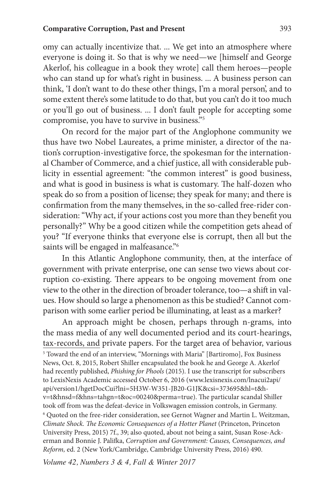omy can actually incentivize that. ... We get into an atmosphere where everyone is doing it. So that is why we need—we [himself and George Akerlof, his colleague in a book they wrote] call them heroes—people who can stand up for what's right in business. ... A business person can think, 'I don't want to do these other things, I'm a moral person', and to some extent there's some latitude to do that, but you can't do it too much or you'll go out of business. ... I don't fault people for accepting some compromise, you have to survive in business."5

On record for the major part of the Anglophone community we thus have two Nobel Laureates, a prime minister, a director of the nation's corruption-investigative force, the spokesman for the international Chamber of Commerce, and a chief justice, all with considerable publicity in essential agreement: "the common interest" is good business, and what is good in business is what is customary. The half-dozen who speak do so from a position of license; they speak for many; and there is confirmation from the many themselves, in the so-called free-rider consideration: "Why act, if your actions cost you more than they benefit you personally?" Why be a good citizen while the competition gets ahead of you? "If everyone thinks that everyone else is corrupt, then all but the saints will be engaged in malfeasance."<sup>6</sup>

In this Atlantic Anglophone community, then, at the interface of government with private enterprise, one can sense two views about corruption co-existing. There appears to be ongoing movement from one view to the other in the direction of broader tolerance, too—a shift in values. How should so large a phenomenon as this be studied? Cannot comparison with some earlier period be illuminating, at least as a marker?

An approach might be chosen, perhaps through n-grams, into the mass media of any well documented period and its court-hearings, tax-records, and private papers. For the target area of behavior, various 5 Toward the end of an interview, "Mornings with Maria" [Bartiromo], Fox Business News, Oct. 8, 2015, Robert Shiller encapsulated the book he and George A. Akerlof had recently published, *Phishing for Phools* (2015). I use the transcript for subscribers to LexisNexis Academic accessed October 6, 2016 (www.lexisnexis.com/lnacui2api/ api/version1/hgetDocCui?lni=5H3W-W351-JB20-G1JK&csi=373695&hl=t&hv=t&hnsd=f&hns=tahgn=t&oc=00240&perma=true). The particular scandal Shiller took off from was the defeat-device in Volkswagen emission controls, in Germany. <sup>6</sup> Quoted on the free-rider consideration, see Gernot Wagner and Martin L. Weitzman, *Climate Shock. The Economic Consequences of a Hotter Planet* (Princeton, Princeton University Press, 2015) 7f., 39; also quoted, about not being a saint, Susan Rose-Ackerman and Bonnie J. Palifka, *Corruption and Government: Causes, Consequences, and Reform,* ed. 2 (New York/Cambridge, Cambridge University Press, 2016) 490.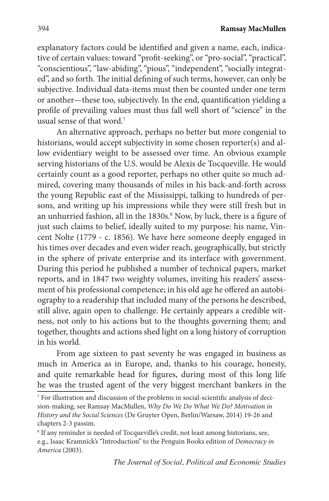explanatory factors could be identified and given a name, each, indicative of certain values: toward "profit-seeking", or "pro-social", "practical", "conscientious", "law-abiding", "pious", "independent", "socially integrated", and so forth. The initial defining of such terms, however, can only be subjective. Individual data-items must then be counted under one term or another—these too, subjectively. In the end, quantification yielding a profile of prevailing values must thus fall well short of "science" in the usual sense of that word.<sup>7</sup>

An alternative approach, perhaps no better but more congenial to historians, would accept subjectivity in some chosen reporter(s) and allow evidentiary weight to be assessed over time. An obvious example serving historians of the U.S. would be Alexis de Tocqueville. He would certainly count as a good reporter, perhaps no other quite so much admired, covering many thousands of miles in his back-and-forth across the young Republic east of the Mississippi, talking to hundreds of persons, and writing up his impressions while they were still fresh but in an unhurried fashion, all in the 1830s.<sup>8</sup> Now, by luck, there is a figure of just such claims to belief, ideally suited to my purpose: his name, Vincent Nolte (1779 - c. 1856). We have here someone deeply engaged in his times over decades and even wider reach, geographically, but strictly in the sphere of private enterprise and its interface with government. During this period he published a number of technical papers, market reports, and in 1847 two weighty volumes, inviting his readers' assessment of his professional competence; in his old age he offered an autobiography to a readership that included many of the persons he described, still alive, again open to challenge. He certainly appears a credible witness, not only to his actions but to the thoughts governing them; and together, thoughts and actions shed light on a long history of corruption in his world.

From age sixteen to past seventy he was engaged in business as much in America as in Europe, and, thanks to his courage, honesty, and quite remarkable head for figures, during most of this long life he was the trusted agent of the very biggest merchant bankers in the

<sup>7</sup> For illustration and discussion of the problems in social-scientific analysis of decision-making, see Ramsay MacMullen, *Why Do We Do What We Do? Motivation in History and the Social Sciences* (De Gruyter Open, Berlin/Warsaw, 2014) 19-26 and chapters 2-3 passim.

<sup>&</sup>lt;sup>8</sup> If any reminder is needed of Tocqueville's credit, not least among historians, see, e.g., Isaac Kramnick's "Introduction" to the Penguin Books edition of *Democracy in America* (2003).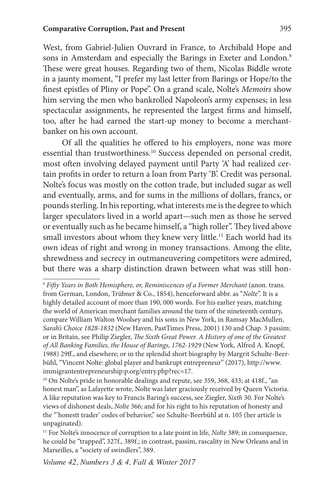West, from Gabriel-Julien Ouvrard in France, to Archibald Hope and sons in Amsterdam and especially the Barings in Exeter and London.<sup>9</sup> These were great houses. Regarding two of them, Nicolas Biddle wrote in a jaunty moment, "I prefer my last letter from Barings or Hope/to the finest epistles of Pliny or Pope". On a grand scale, Nolte's *Memoirs* show him serving the men who bankrolled Napoleon's army expenses; in less spectacular assignments, he represented the largest firms and himself, too, after he had earned the start-up money to become a merchantbanker on his own account.

Of all the qualities he offered to his employers, none was more essential than trustworthiness.10 Success depended on personal credit, most often involving delayed payment until Party 'A' had realized certain profits in order to return a loan from Party 'B'. Credit was personal. Nolte's focus was mostly on the cotton trade, but included sugar as well and eventually, arms, and for sums in the millions of dollars, francs, or pounds sterling. In his reporting, what interests me is the degree to which larger speculators lived in a world apart—such men as those he served or eventually such as he became himself, a "high roller". They lived above small investors about whom they knew very little.<sup>11</sup> Each world had its own ideas of right and wrong in money transactions. Among the elite, shrewdness and secrecy in outmaneuvering competitors were admired, but there was a sharp distinction drawn between what was still hon-

<sup>&</sup>lt;sup>9</sup> Fifty Years in Both Hemisphere, or, Reminiscences of a Former Merchant (anon. trans. from German, London, Trübner & Co., 1854), henceforward abbr. as "*Nolte*". It is a highly detailed account of more than 190, 000 words. For his earlier years, matching the world of American merchant families around the turn of the nineteenth century, compare William Walton Woolsey and his sons in New York, in Ramsay MacMullen, *Sarah's Choice 1828-1832* (New Haven, PastTimes Press, 2001) 130 and Chap. 3 passim; or in Britain, see Philip Ziegler, *The Sixth Great Power. A History of one of the Greatest of All Banking Families, the House of Barings, 1762-1929* (New York, Alfred A. Knopf, 1988) 29ff., and elsewhere; or in the splendid short biography by Margrit Schulte-Beerbühl, "Vincent Nolte: global player and bankrupt entrepreneur" (2017), http://www. immigrantentrepreneurship:p.org/entry.php?rec=17.<br><sup>10</sup> On Nolte's pride in honorable dealings and repute, see 359, 368, 433; at 418f., "an

honest man", as Lafayette wrote, Nolte was later graciously received by Queen Victoria. A like reputation was key to Francis Baring's success, see Ziegler, *Sixth* 30. For Nolte's views of dishonest deals, *Nolte* 366; and for his right to his reputation of honesty and the "'honestt trader' codes of behavior," see Schulte-Beerbühl at n. 105 (her article is unpaginated).

<sup>&</sup>lt;sup>11</sup> For Nolte's innocence of corruption to a late point in life, *Nolte* 389; in consequence, he could be "trapped", 327f., 389f.; in contrast, passim, rascality in New Orleans and in Marseilles, a "society of swindlers", 389.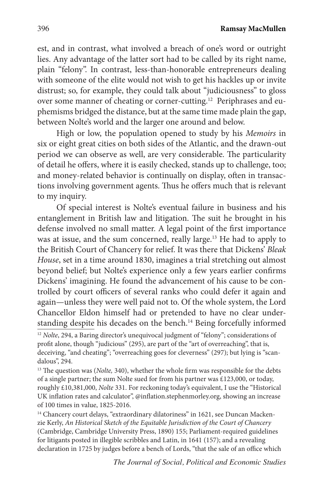est, and in contrast, what involved a breach of one's word or outright lies. Any advantage of the latter sort had to be called by its right name, plain "felony". In contrast, less-than-honorable entrepreneurs dealing with someone of the elite would not wish to get his hackles up or invite distrust; so, for example, they could talk about "judiciousness" to gloss over some manner of cheating or corner-cutting.<sup>12</sup> Periphrases and euphemisms bridged the distance, but at the same time made plain the gap, between Nolte's world and the larger one around and below.

High or low, the population opened to study by his *Memoirs* in six or eight great cities on both sides of the Atlantic, and the drawn-out period we can observe as well, are very considerable. The particularity of detail he offers, where it is easily checked, stands up to challenge, too; and money-related behavior is continually on display, often in transactions involving government agents. Thus he offers much that is relevant to my inquiry.

Of special interest is Nolte's eventual failure in business and his entanglement in British law and litigation. The suit he brought in his defense involved no small matter. A legal point of the first importance was at issue, and the sum concerned, really large.13 He had to apply to the British Court of Chancery for relief. It was there that Dickens' *Bleak House*, set in a time around 1830, imagines a trial stretching out almost beyond belief; but Nolte's experience only a few years earlier confirms Dickens' imagining. He found the advancement of his cause to be controlled by court officers of several ranks who could defer it again and again—unless they were well paid not to. Of the whole system, the Lord Chancellor Eldon himself had or pretended to have no clear understanding despite his decades on the bench.<sup>14</sup> Being forcefully informed

<sup>12</sup> Nolte, 294, a Baring director's unequivocal judgment of "felony"; considerations of profit alone, though "judicious" (295), are part of the "art of overreaching", that is, deceiving, "and cheating"; "overreaching goes for cleverness" (297); but lying is "scandalous", 294.

<sup>13</sup> The question was (*Nolte*, 340), whether the whole firm was responsible for the debts of a single partner; the sum Nolte sued for from his partner was £123,000, or today, roughly £10,381,000, *Nolte* 331. For reckoning today's equivalent, I use the "Historical UK inflation rates and calculator", @inflation.stephenmorley.org, showing an increase of 100 times in value, 1825-2016.

<sup>14</sup> Chancery court delays, "extraordinary dilatoriness" in 1621, see Duncan Mackenzie Kerly, *An Historical Sketch of the Equitable Jurisdiction of the Court of Chancery*  (Cambridge, Cambridge University Press, 1890) 155; Parliament-required guidelines for litigants posted in illegible scribbles and Latin, in 1641 (157); and a revealing declaration in 1725 by judges before a bench of Lords, "that the sale of an office which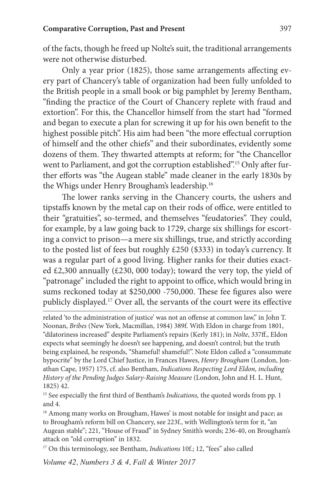of the facts, though he freed up Nolte's suit, the traditional arrangements were not otherwise disturbed.

Only a year prior (1825), those same arrangements affecting every part of Chancery's table of organization had been fully unfolded to the British people in a small book or big pamphlet by Jeremy Bentham, "finding the practice of the Court of Chancery replete with fraud and extortion". For this, the Chancellor himself from the start had "formed and began to execute a plan for screwing it up for his own benefit to the highest possible pitch". His aim had been "the more effectual corruption of himself and the other chiefs" and their subordinates, evidently some dozens of them. They thwarted attempts at reform; for "the Chancellor went to Parliament, and got the corruption established".<sup>15</sup> Only after further efforts was "the Augean stable" made cleaner in the early 1830s by the Whigs under Henry Brougham's leadership.16

The lower ranks serving in the Chancery courts, the ushers and tipstaffs known by the metal cap on their rods of office, were entitled to their "gratuities", so-termed, and themselves "feudatories". They could, for example, by a law going back to 1729, charge six shillings for escorting a convict to prison—a mere six shillings, true, and strictly according to the posted list of fees but roughly £250 (\$333) in today's currency. It was a regular part of a good living. Higher ranks for their duties exacted £2,300 annually (£230, 000 today); toward the very top, the yield of "patronage" included the right to appoint to office, which would bring in sums reckoned today at \$250,000 -750,000. These fee figures also were publicly displayed.17 Over all, the servants of the court were its effective

related 'to the administration of justice' was not an offense at common law," in John T. Noonan, *Bribes* (New York, Macmillan, 1984) 389f. With Eldon in charge from 1801, "dilatoriness increased" despite Parliament's repairs (Kerly 181); in *Nolte*, 337ff., Eldon expects what seemingly he doesn't see happening, and doesn't control; but the truth being explained, he responds, "Shameful! shameful!". Note Eldon called a "consummate hypocrite" by the Lord Chief Justice, in Frances Hawes, *Henry Brougham* (London, Jonathan Cape, 1957) 175, cf. also Bentham, *Indications Respecting Lord Eldon, including History of the Pending Judges Salary-Raising Measure* (London, John and H. L. Hunt, 1825) 42.

<sup>15</sup> See especially the first third of Bentham's *Indications*, the quoted words from pp. 1 and 4.

<sup>16</sup> Among many works on Brougham, Hawes' is most notable for insight and pace; as to Brougham's reform bill on Chancery, see 223f., with Wellington's term for it, "an Augean stable"; 221, "House of Fraud" in Sydney Smith's words; 236-40, on Brougham's attack on "old corruption" in 1832.

<sup>17</sup> On this terminology, see Bentham, *Indications* 10f.; 12, "fees" also called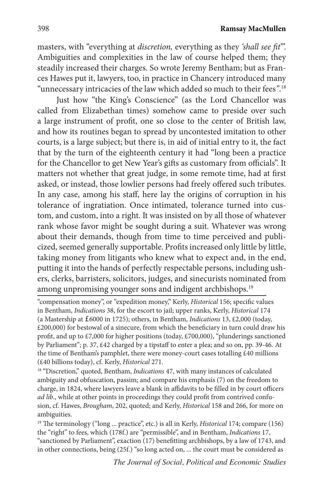masters, with "everything at *discretion,* everything as they *'shall see fit*'". Ambiguities and complexities in the law of course helped them; they steadily increased their charges. So wrote Jeremy Bentham; but as Frances Hawes put it, lawyers, too, in practice in Chancery introduced many "unnecessary intricacies of the law which added so much to their fees*"*. 18

Just how "the King's Conscience" (as the Lord Chancellor was called from Elizabethan times) somehow came to preside over such a large instrument of profit, one so close to the center of British law, and how its routines began to spread by uncontested imitation to other courts, is a large subject; but there is, in aid of initial entry to it, the fact that by the turn of the eighteenth century it had "long been a practice for the Chancellor to get New Year's gifts as customary from officials". It matters not whether that great judge, in some remote time, had at first asked, or instead, those lowlier persons had freely offered such tributes. In any case, among his staff, here lay the origins of corruption in his tolerance of ingratiation. Once intimated, tolerance turned into custom, and custom, into a right. It was insisted on by all those of whatever rank whose favor might be sought during a suit. Whatever was wrong about their demands, though from time to time perceived and publicized, seemed generally supportable. Profits increased only little by little, taking money from litigants who knew what to expect and, in the end, putting it into the hands of perfectly respectable persons, including ushers, clerks, barristers, solicitors, judges, and sinecurists nominated from among unpromising younger sons and indigent archbishops.<sup>19</sup>

"compensation money", or "expedition money," Kerly, *Historical* 156; specific values in Bentham, *Indications* 38, for the escort to jail; upper ranks, Kerly, *Historical* 174 (a Mastership at £6000 in 1725); others, in Bentham, *Indications* 13, £2,000 (today, £200,000) for bestowal of a sinecure, from which the beneficiary in turn could draw his profit, and up to £7,000 for higher positions (today, £700,000), "plunderings sanctioned by Parliament"; p. 37, £42 charged by a tipstaff to enter a plea; and so on, pp. 39-46. At the time of Bentham's pamphlet, there were money-court cases totalling £40 millions (£40 billions today), cf. Kerly, *Historical* 271.

18 "Discretion," quoted, Bentham, *Indications* 47, with many instances of calculated ambiguity and obfuscation, passim; and compare his emphasis (7) on the freedom to charge, in 1824, where lawyers leave a blank in affidavits to be filled in by court officers *ad lib*., while at other points in proceedings they could profit from contrived confusion, cf. Hawes, *Brougham*, 202, quoted; and Kerly, *Historical* 158 and 266, for more on ambiguities.

19 The terminology ("long ... practice", etc.) is all in Kerly, *Historical* 174; compare (156) the "right" to fees, which (178f.) are "permissible", and in Bentham, *Indications* 17, "sanctioned by Parliament", exaction (17) benefitting archbishops, by a law of 1743, and in other connections, being (25f.) "so long acted on, ... the court must be considered as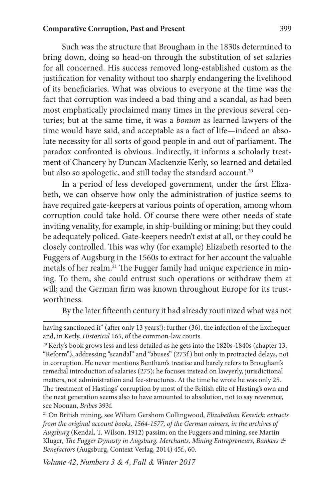Such was the structure that Brougham in the 1830s determined to bring down, doing so head-on through the substitution of set salaries for all concerned. His success removed long-established custom as the justification for venality without too sharply endangering the livelihood of its beneficiaries. What was obvious to everyone at the time was the fact that corruption was indeed a bad thing and a scandal, as had been most emphatically proclaimed many times in the previous several centuries; but at the same time, it was a *bonum* as learned lawyers of the time would have said, and acceptable as a fact of life—indeed an absolute necessity for all sorts of good people in and out of parliament. The paradox confronted is obvious. Indirectly, it informs a scholarly treatment of Chancery by Duncan Mackenzie Kerly, so learned and detailed but also so apologetic, and still today the standard account.<sup>20</sup>

In a period of less developed government, under the first Elizabeth, we can observe how only the administration of justice seems to have required gate-keepers at various points of operation, among whom corruption could take hold. Of course there were other needs of state inviting venality, for example, in ship-building or mining; but they could be adequately policed. Gate-keepers needn't exist at all, or they could be closely controlled. This was why (for example) Elizabeth resorted to the Fuggers of Augsburg in the 1560s to extract for her account the valuable metals of her realm.<sup>21</sup> The Fugger family had unique experience in mining. To them, she could entrust such operations or withdraw them at will; and the German firm was known throughout Europe for its trustworthiness.

By the later fifteenth century it had already routinized what was not

having sanctioned it" (after only 13 years!); further (36), the infection of the Exchequer and, in Kerly, *Historical* 165, of the common-law courts.

<sup>&</sup>lt;sup>20</sup> Kerly's book grows less and less detailed as he gets into the 1820s-1840s (chapter 13, "Reform"), addressing "scandal" and "abuses" (273f.) but only in protracted delays, not in corruption. He never mentions Bentham's treatise and barely refers to Brougham's remedial introduction of salaries (275); he focuses instead on lawyerly, jurisdictional matters, not administration and fee-structures. At the time he wrote he was only 25. The treatment of Hastings' corruption by most of the British elite of Hasting's own and the next generation seems also to have amounted to absolution, not to say reverence, see Noonan, *Bribes* 393f.

<sup>21</sup> On British mining, see Wiliam Gershom Collingwood, *Elizabethan Keswick: extracts from the original account books, 1564-1577, of the German miners, in the archives of Augsburg* (Kendal, T. Wilson, 1912) passim; on the Fuggers and mining, see Martin Kluger, *The Fugger Dynasty in Augsburg. Merchants, Mining Entrepreneurs, Bankers & Benefactors* (Augsburg, Context Verlag, 2014) 45f., 60.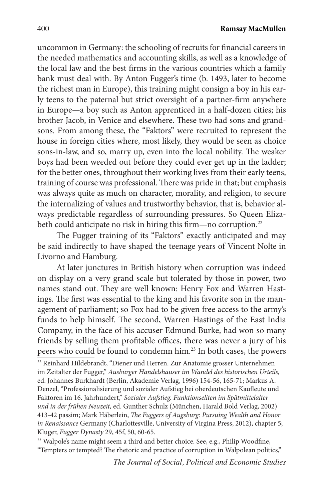uncommon in Germany: the schooling of recruits for financial careers in the needed mathematics and accounting skills, as well as a knowledge of the local law and the best firms in the various countries which a family bank must deal with. By Anton Fugger's time (b. 1493, later to become the richest man in Europe), this training might consign a boy in his early teens to the paternal but strict oversight of a partner-firm anywhere in Europe—a boy such as Anton apprenticed in a half-dozen cities; his brother Jacob, in Venice and elsewhere. These two had sons and grandsons. From among these, the "Faktors" were recruited to represent the house in foreign cities where, most likely, they would be seen as choice sons-in-law, and so, marry up, even into the local nobility. The weaker boys had been weeded out before they could ever get up in the ladder; for the better ones, throughout their working lives from their early teens, training of course was professional. There was pride in that; but emphasis was always quite as much on character, morality, and religion, to secure the internalizing of values and trustworthy behavior, that is, behavior always predictable regardless of surrounding pressures. So Queen Elizabeth could anticipate no risk in hiring this firm—no corruption.<sup>22</sup>

The Fugger training of its "Faktors" exactly anticipated and may be said indirectly to have shaped the teenage years of Vincent Nolte in Livorno and Hamburg.

At later junctures in British history when corruption was indeed on display on a very grand scale but tolerated by those in power, two names stand out. They are well known: Henry Fox and Warren Hastings. The first was essential to the king and his favorite son in the management of parliament; so Fox had to be given free access to the army's funds to help himself. The second, Warren Hastings of the East India Company, in the face of his accuser Edmund Burke, had won so many friends by selling them profitable offices, there was never a jury of his peers who could be found to condemn him.23 In both cases, the powers

<sup>23</sup> Walpole's name might seem a third and better choice. See, e.g., Philip Woodfine, "Tempters or tempted? The rhetoric and practice of corruption in Walpolean politics,"

<sup>22</sup> Reinhard Hildebrandt, "Diener und Herren. Zur Anatomie grosser Unternehmen im Zeitalter der Fugger," *Ausburger Handelshauser im Wandel des historischen Urteils*, ed. Johannes Burkhardt (Berlin, Akademie Verlag, 1996) 154-56, 165-71; Markus A. Denzel, "Professionalisierung und sozialer Aufstieg bei oberdeutschen Kaufleute und Faktoren im 16. Jahrhundert," *Sozialer Aufstieg. Funktionseliten im Spätmittelalter und in der frühen Neuzeit,* ed. Gunther Schulz (München, Harald Bold Verlag, 2002) 413-42 passim; Mark Häberlein, *The Fuggers of Augsburg: Pursuing Wealth and Honor in Renaissance* Germany (Charlottesville, University of Virgina Press, 2012), chapter 5; Kluger, *Fugger Dynasty* 29, 45f, 50, 60-65.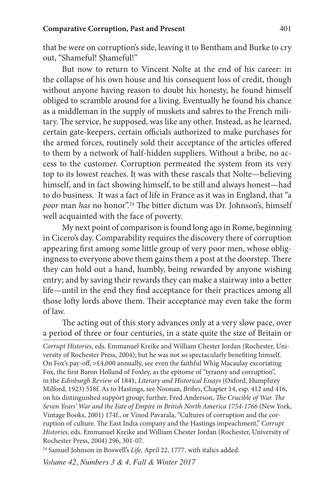that be were on corruption's side, leaving it to Bentham and Burke to cry out, "Shameful! Shameful!"

But now to return to Vincent Nolte at the end of his career: in the collapse of his own house and his consequent loss of credit, though without anyone having reason to doubt his honesty, he found himself obliged to scramble around for a living. Eventually he found his chance as a middleman in the supply of muskets and sabres to the French military. The service, he supposed, was like any other. Instead, as he learned, certain gate-keepers, certain officials authorized to make purchases for the armed forces, routinely sold their acceptance of the articles offered to them by a network of half-hidden suppliers. Without a bribe, no access to the customer. Corruption permeated the system from its very top to its lowest reaches. It was with these rascals that Nolte—believing himself, and in fact showing himself, to be still and always honest—had to do business. It was a fact of life in France as it was in England, that "a *poor* man *has* no honor".24 The bitter dictum was Dr. Johnson's, himself well acquainted with the face of poverty.

My next point of comparison is found long ago in Rome, beginning in Cicero's day. Comparability requires the discovery there of corruption appearing first among some little group of very poor men, whose obligingness to everyone above them gains them a post at the doorstep. There they can hold out a hand, humbly, being rewarded by anyone wishing entry; and by saving their rewards they can make a stairway into a better life—until in the end they find acceptance for their practices among all those lofty lords above them. Their acceptance may even take the form of law.

The acting out of this story advances only at a very slow pace, over a period of three or four centuries, in a state quite the size of Britain or

*Corrupt Histories*, eds. Emmanuel Kreike and William Chester Jordan (Rochester, University of Rochester Press, 2004); but he was not so spectacularly benefiting himself. On Fox's pay-off, >£4,000 annually, see even the faithful Whig Macaulay excoriating Fox, the first Baron Holland of Foxley, as the epitome of "tyranny and corruption", in the *Edinburgh Review* of 1841, *Literary and Historical Essays* (Oxford, Humphrey Milford, 1923) 518f. As to Hastings, see Noonan, *Bribes*, Chapter 14, esp. 412 and 416, on his distinguished support group; further, Fred Anderson, *The Crucible of War. The*  Seven Years' War and the Fate of Empire in British North America 1754-1766 (New York, Vintage Books, 2001) 174f., or Vinod Pavarala, "Cultures of corruption and the corruption of culture. The East India company and the Hastings impeachment," *Corrupt Histories*, eds. Emmanuel Kreike and William Chester Jordan (Rochester, University of Rochester Press, 2004) 296, 301-07.

<sup>24</sup> Samuel Johnson in Boswell's *Life*, April 22, 1777, with italics added.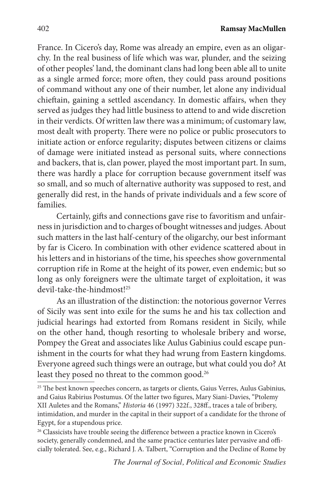France. In Cicero's day, Rome was already an empire, even as an oligarchy. In the real business of life which was war, plunder, and the seizing of other peoples' land, the dominant clans had long been able all to unite as a single armed force; more often, they could pass around positions of command without any one of their number, let alone any individual chieftain, gaining a settled ascendancy. In domestic affairs, when they served as judges they had little business to attend to and wide discretion in their verdicts. Of written law there was a minimum; of customary law, most dealt with property. There were no police or public prosecutors to initiate action or enforce regularity; disputes between citizens or claims of damage were initiated instead as personal suits, where connections and backers, that is, clan power, played the most important part. In sum, there was hardly a place for corruption because government itself was so small, and so much of alternative authority was supposed to rest, and generally did rest, in the hands of private individuals and a few score of families.

Certainly, gifts and connections gave rise to favoritism and unfairness in jurisdiction and to charges of bought witnesses and judges. About such matters in the last half-century of the oligarchy, our best informant by far is Cicero. In combination with other evidence scattered about in his letters and in historians of the time, his speeches show governmental corruption rife in Rome at the height of its power, even endemic; but so long as only foreigners were the ultimate target of exploitation, it was devil-take-the-hindmost!25

As an illustration of the distinction: the notorious governor Verres of Sicily was sent into exile for the sums he and his tax collection and judicial hearings had extorted from Romans resident in Sicily, while on the other hand, though resorting to wholesale bribery and worse, Pompey the Great and associates like Aulus Gabinius could escape punishment in the courts for what they had wrung from Eastern kingdoms. Everyone agreed such things were an outrage, but what could you do? At least they posed no threat to the common good.<sup>26</sup>

<sup>&</sup>lt;sup>25</sup> The best known speeches concern, as targets or clients, Gaius Verres, Aulus Gabinius, and Gaius Rabirius Postumus. Of the latter two figures, Mary Siani-Davies, "Ptolemy XII Auletes and the Romans," *Historia* 46 (1997) 322f., 328ff., traces a tale of bribery, intimidation, and murder in the capital in their support of a candidate for the throne of Egypt, for a stupendous price.

<sup>&</sup>lt;sup>26</sup> Classicists have trouble seeing the difference between a practice known in Cicero's society, generally condemned, and the same practice centuries later pervasive and officially tolerated. See, e.g., Richard J. A. Talbert, "Corruption and the Decline of Rome by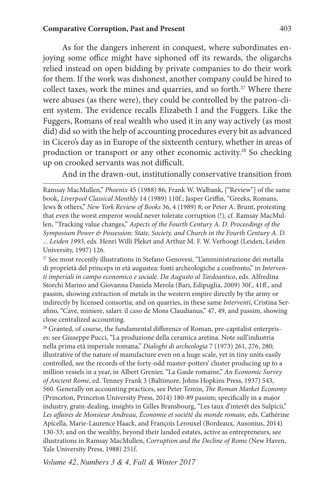As for the dangers inherent in conquest, where subordinates enjoying some office might have siphoned off its rewards, the oligarchs relied instead on open bidding by private companies to do their work for them. If the work was dishonest, another company could be hired to collect taxes, work the mines and quarries, and so forth.<sup>27</sup> Where there were abuses (as there were), they could be controlled by the patron-client system. The evidence recalls Elizabeth I and the Fuggers. Like the Fuggers, Romans of real wealth who used it in any way actively (as most did) did so with the help of accounting procedures every bit as advanced in Cicero's day as in Europe of the sixteenth century, whether in areas of production or transport or any other economic activity.<sup>28</sup> So checking up on crooked servants was not difficult.

And in the drawn-out, institutionally conservative transition from

Ramsay MacMullen," *Phoenix* 45 (1988) 86; Frank W. Walbank, ["Review"] of the same book, *Liverpool Classical Monthly* 14 (1989) 110f.; Jasper Griffin, "Greeks, Romans, Jews & others," *New York Review of Books* 36, 4 (1989) 8; or Peter A. Brunt, protesting that even the worst emperor would never tolerate corruption (!), cf. Ramsay MacMullen, "Tracking value changes," *Aspects of the Fourth Century A. D. Proceedings of the Symposium Power & Possession: State, Society, and Church in the Fourth Century A. D. ... Leiden 1993*, eds. Henri Willi Pleket and Arthur M. F. W. Verhoogt (Leiden, Leiden University, 1997) 126.

27 See most recently illustrations in Stefano Genovesi, "L'amministrazione dei metalla di proprietà del princeps in età augustea: fonti archeologiche a confronto," in *Interventi imperiali in campo economico e sociale. Da Augusto al Tardoantico*, eds. Alfredina Storchi Marino and Giovanna Daniela Merola (Bari, Edipuglia, 2009) 30f., 41ff., and passim, showing extraction of metals in the western empire directly by the army or indirectly by licensed consortia; and on quarries, in these same *Interventi*, Cristina Serafino, "Cave, miniere, salari: il caso de Mons Claudianus," 47, 49, and passim, showing close centralized accounting.

<sup>28</sup> Granted, of course, the fundamental difference of Roman, pre-capitalist enterprises: see Giuseppe Pucci, "La produzione della ceramica aretina. Note sull'industria nella prima età imperiale romana," *Dialoghi di archeologia* 7 (1973) 261, 276, 280; illustrative of the nature of manufacture even on a huge scale, yet in tiny units easily controlled, see the records of the forty-odd master-potters' cluster producing up to a million vessels in a year, in Albert Grenier, "La Gaule romaine," *An Economic Survey of Ancient Rome*, ed. Tenney Frank 3 (Baltimore, Johns Hopkins Press, 1937) 543, 560. Generally on accounting practices, see Peter Temin, *The Roman Market Economy* (Princeton, Princeton University Press, 2014) 180-89 passim; specifically in a major industry, grain-dealing, insights in Gilles Bransbourg, "Les taux d'interêt des Sulpicii," Les affaires de Monsieur Andreau, Économie et société du monde romain, eds. Cathérine Apicella, Marie-Laurence Haack, and François Lerouxel (Bordeaux, Ausonius, 2014) 130-33; and on the wealthy, beyond their landed estates, active as entrepreneurs, see illustrations in Ramsay MacMullen, *Corruption and the Decline of Rome* (New Haven, Yale University Press, 1988) 251f.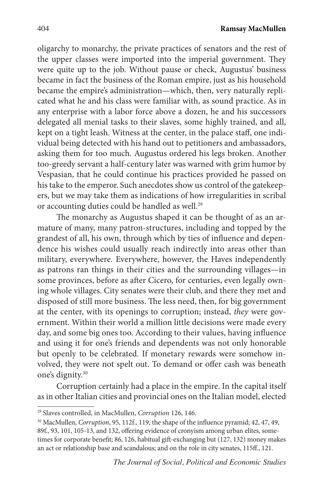oligarchy to monarchy, the private practices of senators and the rest of the upper classes were imported into the imperial government. They were quite up to the job. Without pause or check, Augustus' business became in fact the business of the Roman empire, just as his household became the empire's administration—which, then, very naturally replicated what he and his class were familiar with, as sound practice. As in any enterprise with a labor force above a dozen, he and his successors delegated all menial tasks to their slaves, some highly trained, and all, kept on a tight leash. Witness at the center, in the palace staff, one individual being detected with his hand out to petitioners and ambassadors, asking them for too much. Augustus ordered his legs broken. Another too-greedy servant a half-century later was warned with grim humor by Vespasian, that he could continue his practices provided he passed on his take to the emperor. Such anecdotes show us control of the gatekeepers, but we may take them as indications of how irregularities in scribal or accounting duties could be handled as well.<sup>29</sup>

The monarchy as Augustus shaped it can be thought of as an armature of many, many patron-structures, including and topped by the grandest of all, his own, through which by ties of influence and dependence his wishes could usually reach indirectly into areas other than military, everywhere. Everywhere, however, the Haves independently as patrons ran things in their cities and the surrounding villages—in some provinces, before as after Cicero, for centuries, even legally owning whole villages. City senates were their club, and there they met and disposed of still more business. The less need, then, for big government at the center, with its openings to corruption; instead, *they* were government. Within their world a million little decisions were made every day, and some big ones too. According to their values, having influence and using it for one's friends and dependents was not only honorable but openly to be celebrated. If monetary rewards were somehow involved, they were not spelt out. To demand or offer cash was beneath one's dignity.30

Corruption certainly had a place in the empire. In the capital itself as in other Italian cities and provincial ones on the Italian model, elected

<sup>29</sup> Slaves controlled, in MacMullen, *Corruption* 126, 146.

<sup>30</sup> MacMullen, *Corruption*, 95, 112f., 119, the shape of the influence pyramid; 42, 47, 49, 89f., 93, 101, 105-13, and 132, offering evidence of cronyism among urban elites, sometimes for corporate benefit; 86, 126, habitual gift-exchanging but (127, 132) money makes an act or relationship base and scandalous; and on the role in city senates, 115ff., 121.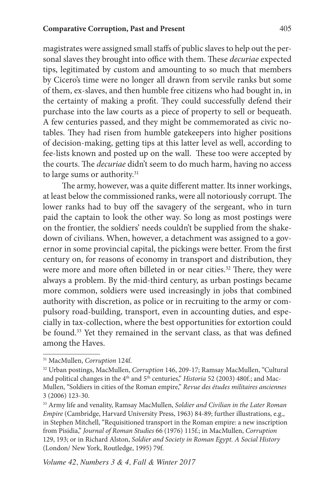magistrates were assigned small staffs of public slaves to help out the personal slaves they brought into office with them. These *decuriae* expected tips, legitimated by custom and amounting to so much that members by Cicero's time were no longer all drawn from servile ranks but some of them, ex-slaves, and then humble free citizens who had bought in, in the certainty of making a profit. They could successfully defend their purchase into the law courts as a piece of property to sell or bequeath. A few centuries passed, and they might be commemorated as civic notables. They had risen from humble gatekeepers into higher positions of decision-making, getting tips at this latter level as well, according to fee-lists known and posted up on the wall. These too were accepted by the courts. The *decuriae* didn't seem to do much harm, having no access to large sums or authority.<sup>31</sup>

The army, however, was a quite different matter. Its inner workings, at least below the commissioned ranks, were all notoriously corrupt. The lower ranks had to buy off the savagery of the sergeant, who in turn paid the captain to look the other way. So long as most postings were on the frontier, the soldiers' needs couldn't be supplied from the shakedown of civilians. When, however, a detachment was assigned to a governor in some provincial capital, the pickings were better. From the first century on, for reasons of economy in transport and distribution, they were more and more often billeted in or near cities.<sup>32</sup> There, they were always a problem. By the mid-third century, as urban postings became more common, soldiers were used increasingly in jobs that combined authority with discretion, as police or in recruiting to the army or compulsory road-building, transport, even in accounting duties, and especially in tax-collection, where the best opportunities for extortion could be found.33 Yet they remained in the servant class, as that was defined among the Haves.

<sup>31</sup> MacMullen, *Corruption* 124f.

<sup>32</sup> Urban postings, MacMullen, *Corruption* 146, 209-17; Ramsay MacMullen, "Cultural and political changes in the 4<sup>th</sup> and 5<sup>th</sup> centuries," *Historia* 52 (2003) 480f.; and Mac-Mullen, "Soldiers in cities of the Roman empire," *Revue des études militaires anciennes* 3 (2006) 123-30.

<sup>33</sup> Army life and venality, Ramsay MacMullen, *Soldier and Civilian in the Later Roman Empire* (Cambridge, Harvard University Press, 1963) 84-89; further illustrations, e.g., in Stephen Mitchell, "Requisitioned transport in the Roman empire: a new inscription from Pisidia," *Journal of Roman Studies* 66 (1976) 115f.; in MacMullen, *Corruption*  129, 193; or in Richard Alston, *Soldier and Society in Roman Egypt. A Social History*  (London/ New York, Routledge, 1995) 79f.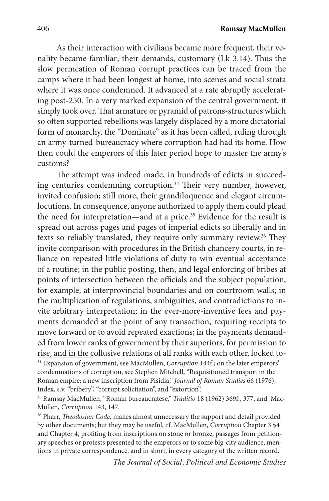As their interaction with civilians became more frequent, their venality became familiar; their demands, customary (Lk 3.14). Thus the slow permeation of Roman corrupt practices can be traced from the camps where it had been longest at home, into scenes and social strata where it was once condemned. It advanced at a rate abruptly accelerating post-250. In a very marked expansion of the central government, it simply took over. That armature or pyramid of patrons-structures which so often supported rebellions was largely displaced by a more dictatorial form of monarchy, the "Dominate" as it has been called, ruling through an army-turned-bureaucracy where corruption had had its home. How then could the emperors of this later period hope to master the army's customs?

The attempt was indeed made, in hundreds of edicts in succeeding centuries condemning corruption.<sup>34</sup> Their very number, however, invited confusion; still more, their grandiloquence and elegant circumlocutions. In consequence, anyone authorized to apply them could plead the need for interpretation—and at a price.<sup>35</sup> Evidence for the result is spread out across pages and pages of imperial edicts so liberally and in texts so reliably translated, they require only summary review.<sup>36</sup> They invite comparison with procedures in the British chancery courts, in reliance on repeated little violations of duty to win eventual acceptance of a routine; in the public posting, then, and legal enforcing of bribes at points of intersection between the officials and the subject population, for example, at interprovincial boundaries and on courtroom walls; in the multiplication of regulations, ambiguities, and contradictions to invite arbitrary interpretation; in the ever-more-inventive fees and payments demanded at the point of any transaction, requiring receipts to move forward or to avoid repeated exactions; in the payments demanded from lower ranks of government by their superiors, for permission to rise, and in the collusive relations of all ranks with each other, locked to- 34 Expansion of government, see MacMullen, *Corruption* 144f.; on the later emperors' condemnations of corruption, see Stephen Mitchell, "Requisitioned transport in the Roman empire: a new inscription from Pisidia," *Journal of Roman Studies* 66 (1976), Index, s.v. "bribery", "corrupt solicitation", and "extortion".

<sup>35</sup> Ramsay MacMullen, "Roman bureaucratese," *Traditio* 18 (1962) 369f., 377, and Mac-Mullen, *Corruption* 143, 147*.*

36 Pharr, *Theodosian Code,* makes almost unnecessary the support and detail provided by other documents; but they may be useful, cf. MacMullen, *Corruption* Chapter 3 §4 and Chapter 4, profiting from inscriptions on stone or bronze, passages from petitionary speeches or protests presented to the emperors or to some big-city audience, mentions in private correspondence, and in short, in every category of the written record.

*The Journal of Social, Political and Economic Studies*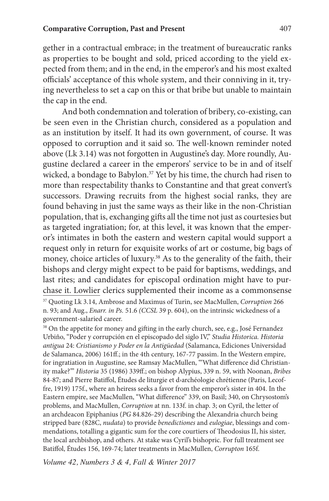gether in a contractual embrace; in the treatment of bureaucratic ranks as properties to be bought and sold, priced according to the yield expected from them; and in the end, in the emperor's and his most exalted officials' acceptance of this whole system, and their conniving in it, trying nevertheless to set a cap on this or that bribe but unable to maintain the cap in the end.

And both condemnation and toleration of bribery, co-existing, can be seen even in the Christian church, considered as a population and as an institution by itself. It had its own government, of course. It was opposed to corruption and it said so. The well-known reminder noted above (Lk 3.14) was not forgotten in Augustine's day. More roundly, Augustine declared a career in the emperors' service to be in and of itself wicked, a bondage to Babylon.<sup>37</sup> Yet by his time, the church had risen to more than respectability thanks to Constantine and that great convert's successors. Drawing recruits from the highest social ranks, they are found behaving in just the same ways as their like in the non-Christian population, that is, exchanging gifts all the time not just as courtesies but as targeted ingratiation; for, at this level, it was known that the emperor's intimates in both the eastern and western capital would support a request only in return for exquisite works of art or costume, big bags of money, choice articles of luxury.<sup>38</sup> As to the generality of the faith, their bishops and clergy might expect to be paid for baptisms, weddings, and last rites; and candidates for episcopal ordination might have to purchase it. Lowlier clerics supplemented their income as a commonsense

<sup>37</sup> Quoting Lk 3.14, Ambrose and Maximus of Turin, see MacMullen, *Corruption* 266 n. 93; and Aug., *Enarr. in Ps.* 51.6 *(CCSL* 39 p. 604), on the intrinsic wickedness of a government-salaried career.

<sup>&</sup>lt;sup>38</sup> On the appetite for money and gifting in the early church, see, e.g., José Fernandez Urbiño, "Poder y corrupción en el episcopado del siglo IV," *Studia Historica. Historia antigua* 24: *Cristianismo y Poder en la Antigüedad* (Salamanca, Ediciones Universidad de Salamanca, 2006) 161ff.; in the 4th century, 167-77 passim. In the Western empire, for ingratiation in Augustine, see Ramsay MacMullen, "'What difference did Christianity make?'" *Historia* 35 (1986) 339ff.; on bishop Alypius, 339 n. 59, with Noonan, *Bribes* 84-87; and Pierre Batiffol, Études de liturgie et darchéologie chrétienne (Paris, Lecoffre, 1919) 175f., where an heiress seeks a favor from the emperor's sister in 404. In the Eastern empire, see MacMullen, "What difference" 339, on Basil; 340, on Chrysostom's problems, and MacMullen, *Corruption* at nn. 133f. in chap. 3; on Cyril, the letter of an archdeacon Epiphanius (*PG* 84.826-29) describing the Alexandria church being stripped bare (828C, *nudata*) to provide *benedictiones* and *eulogiae*, blessings and commendations, totalling a gigantic sum for the core courtiers of Theodosius II, his sister, the local archbishop, and others. At stake was Cyril's bishopric. For full treatment see Batiffol, Études 156, 169-74; later treatments in MacMullen, *Corrupton* 165f.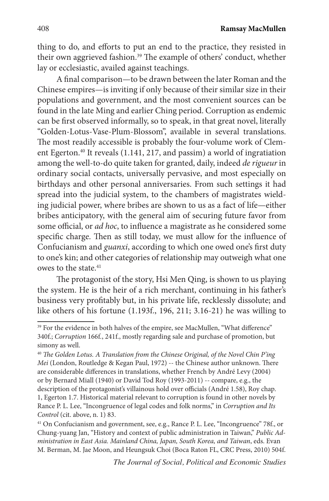408 **Ramsay MacMullen**

thing to do, and efforts to put an end to the practice, they resisted in their own aggrieved fashion.<sup>39</sup> The example of others' conduct, whether lay or ecclesiastic, availed against teachings.

A final comparison—to be drawn between the later Roman and the Chinese empires—is inviting if only because of their similar size in their populations and government, and the most convenient sources can be found in the late Ming and earlier Ching period. Corruption as endemic can be first observed informally, so to speak, in that great novel, literally "Golden-Lotus-Vase-Plum-Blossom", available in several translations. The most readily accessible is probably the four-volume work of Clement Egerton.<sup>40</sup> It reveals (1.141, 217, and passim) a world of ingratiation among the well-to-do quite taken for granted, daily, indeed *de rigueur* in ordinary social contacts, universally pervasive, and most especially on birthdays and other personal anniversaries. From such settings it had spread into the judicial system, to the chambers of magistrates wielding judicial power, where bribes are shown to us as a fact of life—either bribes anticipatory, with the general aim of securing future favor from some official, or *ad hoc*, to influence a magistrate as he considered some specific charge. Then as still today, we must allow for the influence of Confucianism and *guanxi*, according to which one owed one's first duty to one's kin; and other categories of relationship may outweigh what one owes to the state.<sup>41</sup>

The protagonist of the story, Hsi Men Qing, is shown to us playing the system. He is the heir of a rich merchant, continuing in his father's business very profitably but, in his private life, recklessly dissolute; and like others of his fortune (1.193f., 196, 211; 3.16-21) he was willing to

<sup>&</sup>lt;sup>39</sup> For the evidence in both halves of the empire, see MacMullen, "What difference" 340f.; *Corruption* 166f*.*, 241f., mostly regarding sale and purchase of promotion, but simony as well.

<sup>40</sup> *The Golden Lotus. A Translation from the Chinese Original, of the Novel Chin P'ing Mei* (London, Routledge & Kegan Paul, 1972) -- the Chinese author unknown. There are considerable differences in translations, whether French by André Levy (2004) or by Bernard Miall (1940) or David Tod Roy (1993-2011) -- compare, e.g., the description of the protagonist's villainous hold over officials (André 1.58), Roy chap. 1, Egerton 1.7. Historical material relevant to corruption is found in other novels by Rance P. L. Lee, "Incongruence of legal codes and folk norms," in *Corruption and Its Control* (cit. above, n. 1) 83.

<sup>&</sup>lt;sup>41</sup> On Confucianism and government, see, e.g., Rance P. L. Lee, "Incongruence" 78f., or Chung-yuang Jan, "History and context of public administration in Taiwan," *Public Administration in East Asia. Mainland China, Japan, South Korea, and Taiwan*, eds. Evan M. Berman, M. Jae Moon, and Heungsuk Choi (Boca Raton FL, CRC Press, 2010) 504f.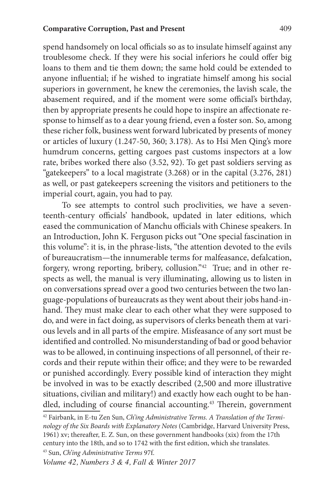spend handsomely on local officials so as to insulate himself against any troublesome check. If they were his social inferiors he could offer big loans to them and tie them down; the same hold could be extended to anyone influential; if he wished to ingratiate himself among his social superiors in government, he knew the ceremonies, the lavish scale, the abasement required, and if the moment were some official's birthday, then by appropriate presents he could hope to inspire an affectionate response to himself as to a dear young friend, even a foster son. So, among these richer folk, business went forward lubricated by presents of money or articles of luxury (1.247-50, 360; 3.178). As to Hsi Men Qing's more humdrum concerns, getting cargoes past customs inspectors at a low rate, bribes worked there also (3.52, 92). To get past soldiers serving as "gatekeepers" to a local magistrate (3.268) or in the capital (3.276, 281) as well, or past gatekeepers screening the visitors and petitioners to the imperial court, again, you had to pay.

To see attempts to control such proclivities, we have a seventeenth-century officials' handbook, updated in later editions, which eased the communication of Manchu officials with Chinese speakers. In an Introduction, John K. Ferguson picks out "One special fascination in this volume": it is, in the phrase-lists, "the attention devoted to the evils of bureaucratism—the innumerable terms for malfeasance, defalcation, forgery, wrong reporting, bribery, collusion."42 True; and in other respects as well, the manual is very illuminating, allowing us to listen in on conversations spread over a good two centuries between the two language-populations of bureaucrats as they went about their jobs hand-inhand. They must make clear to each other what they were supposed to do, and were in fact doing, as supervisors of clerks beneath them at various levels and in all parts of the empire. Misfeasance of any sort must be identified and controlled. No misunderstanding of bad or good behavior was to be allowed, in continuing inspections of all personnel, of their records and their repute within their office; and they were to be rewarded or punished accordingly. Every possible kind of interaction they might be involved in was to be exactly described (2,500 and more illustrative situations, civilian and military!) and exactly how each ought to be handled, including of course financial accounting.<sup>43</sup> Therein, government

43 Sun, *Ch'ing Administrative Terms* 97f.

<sup>42</sup> Fairbank, in E-tu Zen Sun, *Ch'ing Administrative Terms. A Translation of the Terminology of the Six Boards with Explanatory Notes* (Cambridge, Harvard University Press, 1961) xv; thereafter, E. Z. Sun, on these government handbooks (xix) from the 17th century into the 18th, and so to 1742 with the first edition, which she translates.

*Volume 42, Numbers 3 & 4, Fall & Winter 2017*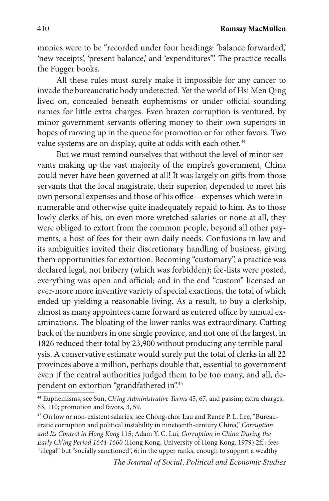monies were to be "recorded under four headings: 'balance forwarded,' 'new receipts', 'present balance' and 'expenditures"'. The practice recalls the Fugger books.

All these rules must surely make it impossible for any cancer to invade the bureaucratic body undetected. Yet the world of Hsi Men Qing lived on, concealed beneath euphemisms or under official-sounding names for little extra charges. Even brazen corruption is ventured, by minor government servants offering money to their own superiors in hopes of moving up in the queue for promotion or for other favors. Two value systems are on display, quite at odds with each other.<sup>44</sup>

But we must remind ourselves that without the level of minor servants making up the vast majority of the empire's government, China could never have been governed at all! It was largely on gifts from those servants that the local magistrate, their superior, depended to meet his own personal expenses and those of his office—expenses which were innumerable and otherwise quite inadequately repaid to him. As to those lowly clerks of his, on even more wretched salaries or none at all, they were obliged to extort from the common people, beyond all other payments, a host of fees for their own daily needs. Confusions in law and its ambiguities invited their discretionary handling of business, giving them opportunities for extortion. Becoming "customary", a practice was declared legal, not bribery (which was forbidden); fee-lists were posted, everything was open and official; and in the end "custom" licensed an ever-more more inventive variety of special exactions, the total of which ended up yielding a reasonable living. As a result, to buy a clerkship, almost as many appointees came forward as entered office by annual examinations. The bloating of the lower ranks was extraordinary. Cutting back of the numbers in one single province, and not one of the largest, in 1826 reduced their total by 23,900 without producing any terrible paralysis. A conservative estimate would surely put the total of clerks in all 22 provinces above a million, perhaps double that, essential to government even if the central authorities judged them to be too many, and all, dependent on extortion "grandfathered in".45

*The Journal of Social, Political and Economic Studies*

<sup>44</sup> Euphemisms, see Sun, *Ch'ing Administrative Terms* 45, 67, and passim; extra charges, 63, 110; promotion and favors, 3, 59.

<sup>45</sup> On low or non-existent salaries, see Chong-chor Lau and Rance P. L. Lee, "Bureaucratic corruption and political instability in nineteenth-century China," *Corruption and Its Control in Hong Kong* 115; Adam Y. C. Lui, *Corruption in China During the Early Ch'ing Period 1644-1660* (Hong Kong, University of Hong Kong, 1979) 2ff.; fees "illegal" but "socially sanctioned", 6; in the upper ranks, enough to support a wealthy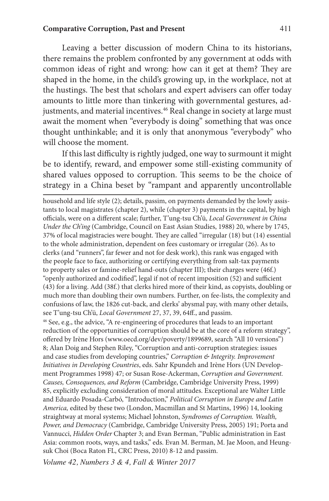Leaving a better discussion of modern China to its historians, there remains the problem confronted by any government at odds with common ideas of right and wrong: how can it get at them? They are shaped in the home, in the child's growing up, in the workplace, not at the hustings. The best that scholars and expert advisers can offer today amounts to little more than tinkering with governmental gestures, adjustments, and material incentives.<sup>46</sup> Real change in society at large must await the moment when "everybody is doing" something that was once thought unthinkable; and it is only that anonymous "everybody" who will choose the moment.

If this last difficulty is rightly judged, one way to surmount it might be to identify, reward, and empower some still-existing community of shared values opposed to corruption. This seems to be the choice of strategy in a China beset by "rampant and apparently uncontrollable

household and life style (2); details, passim, on payments demanded by the lowly assistants to local magistrates (chapter 2), while (chapter 3) payments in the capital, by high officials, were on a different scale; further, T'ung-tsu Ch'ü, *Local Government in China Under the Ch'ing* (Cambridge, Council on East Asian Studies, 1988) 20, where by 1745, 37% of local magistracies were bought. They are called "irregular (18) but (14) essential to the whole administration, dependent on fees customary or irregular (26). As to clerks (and "runners", far fewer and not for desk work), this rank was engaged with the people face to face, authorizing or certifying everything from salt-tax payments to property sales or famine-relief hand-outs (chapter III); their charges were (46f.) "openly authorized and codified", legal if not of recent imposition (52) and sufficient (43) for a living. Add (38f.) that clerks hired more of their kind, as copyists, doubling or much more than doubling their own numbers. Further, on fee-lists, the complexity and confusions of law, the 1826 cut-back, and clerks' abysmal pay, with many other details, see T'ung-tsu Ch'ü, *Local Government* 27, 37, 39, 64ff., and passim. 46 See, e.g., the advice, "A re-engineering of procedures that leads to an important reduction of the opportunities of corruption should be at the core of a reform strategy", offered by Irène Hors (www.oecd.org/dev/poverty/1899689, search "All 10 versions") 8; Alan Doig and Stephen Riley, "Corruption and anti-corruption strategies: issues and case studies from developing countries," *Corruption & Integrity. Improvement Initiatives in Developing Countries*, eds. Sahr Kpundeh and Irène Hors (UN Development Programmes 1998) 47; or Susan Rose-Ackerman, *Corruption and Government. Causes, Consequences, and Reform* (Cambridge, Cambridge University Press, 1999) 85, explicitly excluding consideration of moral attitudes. Exceptional are Walter Little and Eduardo Posada-Carbó, "Introduction," *Political Corruption in Europe and Latin America,* edited by these two (London, Macmillan and St Martins, 1996) 14, looking straightway at moral systems; Michael Johnston, *Syndromes of Corruption. Wealth, Power, and Democracy* (Cambridge, Cambridge University Press, 2005) 191; Porta and Vannucci, *Hidden Order* Chapter 3; and Evan Berman, "Public administration in East Asia: common roots, ways, and tasks," eds. Evan M. Berman, M. Jae Moon, and Heungsuk Choi (Boca Raton FL, CRC Press, 2010) 8-12 and passim.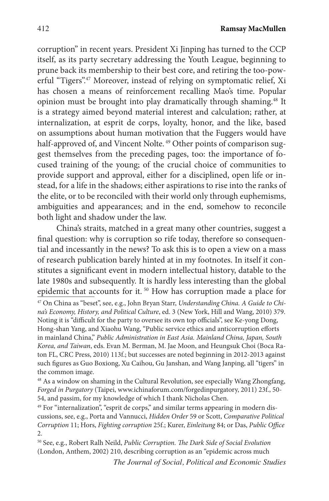corruption" in recent years. President Xi Jinping has turned to the CCP itself, as its party secretary addressing the Youth League, beginning to prune back its membership to their best core, and retiring the too-powerful "Tigers".<sup>47</sup> Moreover, instead of relying on symptomatic relief, Xi has chosen a means of reinforcement recalling Mao's time. Popular opinion must be brought into play dramatically through shaming.<sup>48</sup> It is a strategy aimed beyond material interest and calculation; rather, at internalization, at esprit de corps, loyalty, honor, and the like, based on assumptions about human motivation that the Fuggers would have half-approved of, and Vincent Nolte.<sup>49</sup> Other points of comparison suggest themselves from the preceding pages, too: the importance of focused training of the young; of the crucial choice of communities to provide support and approval, either for a disciplined, open life or instead, for a life in the shadows; either aspirations to rise into the ranks of the elite, or to be reconciled with their world only through euphemisms, ambiguities and appearances; and in the end, somehow to reconcile both light and shadow under the law.

China's straits, matched in a great many other countries, suggest a final question: why is corruption so rife today, therefore so consequential and incessantly in the news? To ask this is to open a view on a mass of research publication barely hinted at in my footnotes. In itself it constitutes a significant event in modern intellectual history, datable to the late 1980s and subsequently. It is hardly less interesting than the global epidemic that accounts for it. 50 How has corruption made a place for

47 On China as "beset", see, e.g., John Bryan Starr, *Understanding China. A Guide to China's Economy, History, and Political Culture*, ed. 3 (New York, Hill and Wang, 2010) 379. Noting it is "difficult for the party to oversee its own top officials", see Ke-yong Dong, Hong-shan Yang, and Xiaohu Wang, "Public service ethics and anticorruption efforts in mainland China," *Public Administration in East Asia. Mainland China, Japan, South Korea, and Taiwan*, eds. Evan M. Berman, M. Jae Moon, and Heungsuk Choi (Boca Raton FL, CRC Press, 2010) 113f.; but successes are noted beginning in 2012-2013 against such figures as Guo Boxiong, Xu Caihou, Gu Janshan, and Wang Janping, all "tigers" in the common image.

48 As a window on shaming in the Cultural Revolution, see especially Wang Zhongfang, *Forged in Purgatory* (Taipei, www.ichinaforum.com/forgedinpurgatory, 2011) 23f., 50- 54, and passim, for my knowledge of which I thank Nicholas Chen.

<sup>49</sup> For "internalization", "esprit de corps," and similar terms appearing in modern discussions, see, e.g., Porta and Vannucci, *Hidden Order* 59 or Scott, *Comparative Political Corruption* 11; Hors, *Fighting corruption* 25f.; Kurer, *Einleitung* 84; or Das, *Public Office* 2.

50 See, e.g., Robert Ralh Neild, *Public Corruption. The Dark Side of Social Evolution* (London, Anthem, 2002) 210, describing corruption as an "epidemic across much

*The Journal of Social, Political and Economic Studies*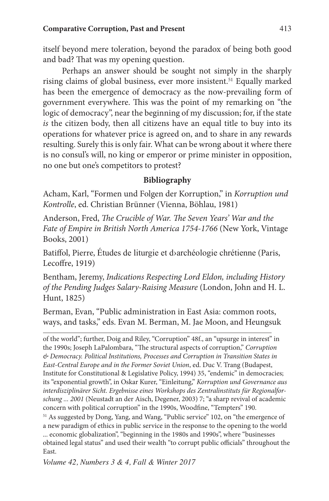itself beyond mere toleration, beyond the paradox of being both good and bad? That was my opening question.

Perhaps an answer should be sought not simply in the sharply rising claims of global business, ever more insistent.<sup>51</sup> Equally marked has been the emergence of democracy as the now-prevailing form of government everywhere. This was the point of my remarking on "the logic of democracy", near the beginning of my discussion; for, if the state *is* the citizen body, then all citizens have an equal title to buy into its operations for whatever price is agreed on, and to share in any rewards resulting. Surely this is only fair. What can be wrong about it where there is no consul's will, no king or emperor or prime minister in opposition, no one but one's competitors to protest?

# **Bibliography**

Acham, Karl, "Formen und Folgen der Korruption," in *Korruption und Kontrolle*, ed. Christian Brünner (Vienna, Böhlau, 1981)

Anderson, Fred, *The Crucible of War. The Seven Years' War and the Fate of Empire in British North America 1754-1766* (New York, Vintage Books, 2001)

Batiffol, Pierre, Études de liturgie et d›archéologie chrétienne (Paris, Lecoffre, 1919)

Bentham, Jeremy, *Indications Respecting Lord Eldon, including History of the Pending Judges Salary-Raising Measure* (London, John and H. L. Hunt, 1825)

Berman, Evan, "Public administration in East Asia: common roots, ways, and tasks," eds. Evan M. Berman, M. Jae Moon, and Heungsuk

of the world"; further, Doig and Riley, "Corruption" 48f., an "upsurge in interest" in the 1990s; Joseph LaPalombara, "The structural aspects of corruption," *Corruption & Democracy. Political Institutions, Processes and Corruption in Transition States in East-Central Europe and in the Former Soviet Union*, ed. Duc V. Trang (Budapest, Institute for Constitutional & Legislative Policy, 1994) 35, "endemic" in democracies; its "exponential growth", in Oskar Kurer, "Einleitung," *Korruption und Governance aus interdisziplinärer Sicht. Ergebnisse eines Workshops des Zentralinstituts für Regionalforschung ... 2001* (Neustadt an der Aisch, Degener, 2003) 7; "a sharp revival of academic concern with political corruption" in the 1990s, Woodfine, "Tempters" 190.

51 As suggested by Dong, Yang, and Wang, "Public service" 102, on "the emergence of a new paradigm of ethics in public service in the response to the opening to the world ... economic globalization", "beginning in the 1980s and 1990s", where "businesses obtained legal status" and used their wealth "to corrupt public officials" throughout the East.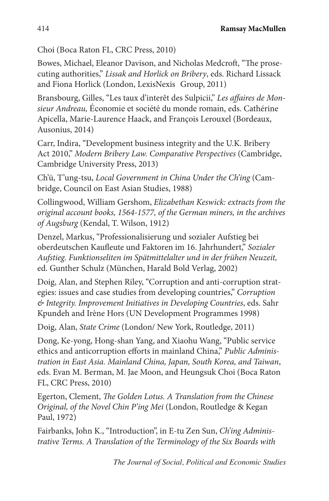Choi (Boca Raton FL, CRC Press, 2010)

Bowes, Michael, Eleanor Davison, and Nicholas Medcroft, "The prosecuting authorities," *Lissak and Horlick on Bribery*, eds. Richard Lissack and Fiona Horlick (London, LexisNexis Group, 2011)

Bransbourg, Gilles, "Les taux d'interêt des Sulpicii," *Les affaires de Monsieur Andreau,* Économie et société du monde romain, eds. Cathérine Apicella, Marie-Laurence Haack, and François Lerouxel (Bordeaux, Ausonius, 2014)

Carr, Indira, "Development business integrity and the U.K. Bribery Act 2010," *Modern Bribery Law. Comparative Perspectives* (Cambridge, Cambridge University Press, 2013)

Ch'ü, T'ung-tsu, *Local Government in China Under the Ch'ing* (Cambridge, Council on East Asian Studies, 1988)

Collingwood, William Gershom, *Elizabethan Keswick: extracts from the original account books, 1564-1577, of the German miners, in the archives of Augsburg* (Kendal, T. Wilson, 1912)

Denzel, Markus, "Professionalisierung und sozialer Aufstieg bei oberdeutschen Kaufleute und Faktoren im 16. Jahrhundert," *Sozialer Aufstieg. Funktionseliten im Spätmittelalter und in der frühen Neuzeit,* ed. Gunther Schulz (München, Harald Bold Verlag, 2002)

Doig, Alan, and Stephen Riley, "Corruption and anti-corruption strategies: issues and case studies from developing countries," *Corruption & Integrity. Improvement Initiatives in Developing Countries*, eds. Sahr Kpundeh and Irène Hors (UN Development Programmes 1998)

Doig, Alan, *State Crime* (London/ New York, Routledge, 2011)

Dong, Ke-yong, Hong-shan Yang, and Xiaohu Wang, "Public service ethics and anticorruption efforts in mainland China," *Public Administration in East Asia. Mainland China, Japan, South Korea, and Taiwan*, eds. Evan M. Berman, M. Jae Moon, and Heungsuk Choi (Boca Raton FL, CRC Press, 2010)

Egerton, Clement, *The Golden Lotus. A Translation from the Chinese Original, of the Novel Chin P'ing Mei* (London, Routledge & Kegan Paul, 1972)

Fairbanks, John K., "Introduction", in E-tu Zen Sun, *Ch'ing Administrative Terms. A Translation of the Terminology of the Six Boards with*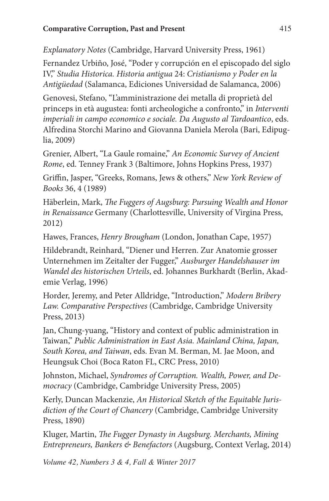*Explanatory Notes* (Cambridge, Harvard University Press, 1961)

Fernandez Urbiño, José, "Poder y corrupción en el episcopado del siglo IV," *Studia Historica. Historia antigua* 24: *Cristianismo y Poder en la Antigüedad* (Salamanca, Ediciones Universidad de Salamanca, 2006)

Genovesi, Stefano, "L'amministrazione dei metalla di proprietà del princeps in età augustea: fonti archeologiche a confronto," in *Interventi imperiali in campo economico e sociale. Da Augusto al Tardoantico*, eds. Alfredina Storchi Marino and Giovanna Daniela Merola (Bari, Edipuglia, 2009)

Grenier, Albert, "La Gaule romaine," *An Economic Survey of Ancient Rome*, ed. Tenney Frank 3 (Baltimore, Johns Hopkins Press, 1937)

Griffin, Jasper, "Greeks, Romans, Jews & others," *New York Review of Books* 36, 4 (1989)

Häberlein, Mark, *The Fuggers of Augsburg: Pursuing Wealth and Honor in Renaissance* Germany (Charlottesville, University of Virgina Press, 2012)

Hawes, Frances, *Henry Brougham* (London, Jonathan Cape, 1957)

Hildebrandt, Reinhard, "Diener und Herren. Zur Anatomie grosser Unternehmen im Zeitalter der Fugger," *Ausburger Handelshauser im Wandel des historischen Urteils*, ed. Johannes Burkhardt (Berlin, Akademie Verlag, 1996)

Horder, Jeremy, and Peter Alldridge, "Introduction," *Modern Bribery Law. Comparative Perspectives* (Cambridge, Cambridge University Press, 2013)

Jan, Chung-yuang, "History and context of public administration in Taiwan," *Public Administration in East Asia. Mainland China, Japan, South Korea, and Taiwan*, eds. Evan M. Berman, M. Jae Moon, and Heungsuk Choi (Boca Raton FL, CRC Press, 2010)

Johnston, Michael, *Syndromes of Corruption. Wealth, Power, and Democracy* (Cambridge, Cambridge University Press, 2005)

Kerly, Duncan Mackenzie, *An Historical Sketch of the Equitable Jurisdiction of the Court of Chancery* (Cambridge, Cambridge University Press, 1890)

Kluger, Martin, *The Fugger Dynasty in Augsburg. Merchants, Mining Entrepreneurs, Bankers & Benefactors* (Augsburg, Context Verlag, 2014)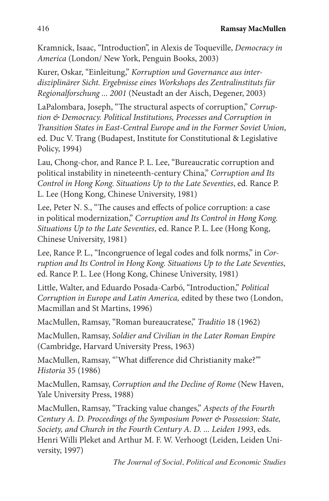Kramnick, Isaac, "Introduction", in Alexis de Toqueville, *Democracy in America* (London/ New York, Penguin Books, 2003)

Kurer, Oskar, "Einleitung," *Korruption und Governance aus interdisziplinärer Sicht. Ergebnisse eines Workshops des Zentralinstituts für Regionalforschung ... 2001* (Neustadt an der Aisch, Degener, 2003)

LaPalombara, Joseph, "The structural aspects of corruption," *Corruption & Democracy. Political Institutions, Processes and Corruption in Transition States in East-Central Europe and in the Former Soviet Union*, ed. Duc V. Trang (Budapest, Institute for Constitutional & Legislative Policy, 1994)

Lau, Chong-chor, and Rance P. L. Lee, "Bureaucratic corruption and political instability in nineteenth-century China," *Corruption and Its Control in Hong Kong. Situations Up to the Late Seventies*, ed. Rance P. L. Lee (Hong Kong, Chinese University, 1981)

Lee, Peter N. S., "The causes and effects of police corruption: a case in political modernization," *Corruption and Its Control in Hong Kong. Situations Up to the Late Seventies*, ed. Rance P. L. Lee (Hong Kong, Chinese University, 1981)

Lee, Rance P. L., "Incongruence of legal codes and folk norms," in *Corruption and Its Control in Hong Kong. Situations Up to the Late Seventies*, ed. Rance P. L. Lee (Hong Kong, Chinese University, 1981)

Little, Walter, and Eduardo Posada-Carbó, "Introduction," *Political Corruption in Europe and Latin America,* edited by these two (London, Macmillan and St Martins, 1996)

MacMullen, Ramsay, "Roman bureaucratese," *Traditio* 18 (1962)

MacMullen, Ramsay, *Soldier and Civilian in the Later Roman Empire* (Cambridge, Harvard University Press, 1963)

MacMullen, Ramsay, "'What difference did Christianity make?'" *Historia* 35 (1986)

MacMullen, Ramsay, *Corruption and the Decline of Rome* (New Haven, Yale University Press, 1988)

MacMullen, Ramsay, "Tracking value changes," *Aspects of the Fourth Century A. D. Proceedings of the Symposium Power & Possession: State, Society, and Church in the Fourth Century A. D. ... Leiden 1993*, eds. Henri Willi Pleket and Arthur M. F. W. Verhoogt (Leiden, Leiden University, 1997)

*The Journal of Social, Political and Economic Studies*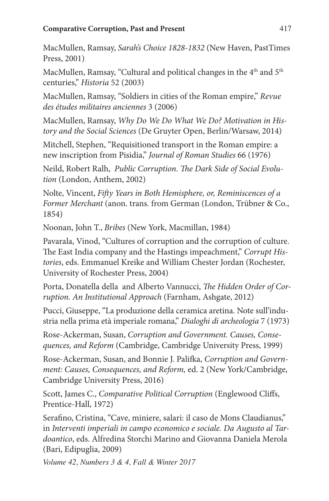MacMullen, Ramsay, *Sarah's Choice 1828-1832* (New Haven, PastTimes Press, 2001)

MacMullen, Ramsay, "Cultural and political changes in the 4<sup>th</sup> and 5<sup>th</sup> centuries," *Historia* 52 (2003)

MacMullen, Ramsay, "Soldiers in cities of the Roman empire," *Revue des études militaires anciennes* 3 (2006)

MacMullen, Ramsay, *Why Do We Do What We Do? Motivation in History and the Social Sciences* (De Gruyter Open, Berlin/Warsaw, 2014)

Mitchell, Stephen, "Requisitioned transport in the Roman empire: a new inscription from Pisidia," *Journal of Roman Studies* 66 (1976)

Neild, Robert Ralh, *Public Corruption. The Dark Side of Social Evolution* (London, Anthem, 2002)

Nolte, Vincent, *Fifty Years in Both Hemisphere, or, Reminiscences of a Former Merchant* (anon. trans*.* from German (London, Trübner & Co., 1854)

Noonan, John T., *Bribes* (New York, Macmillan, 1984)

Pavarala, Vinod, "Cultures of corruption and the corruption of culture. The East India company and the Hastings impeachment," *Corrupt Histories*, eds. Emmanuel Kreike and William Chester Jordan (Rochester, University of Rochester Press, 2004)

Porta, Donatella della and Alberto Vannucci, *The Hidden Order of Corruption. An Institutional Approach* (Farnham, Ashgate, 2012)

Pucci, Giuseppe, "La produzione della ceramica aretina. Note sull'industria nella prima età imperiale romana," *Dialoghi di archeologia* 7 (1973)

Rose-Ackerman, Susan, *Corruption and Government. Causes, Consequences, and Reform* (Cambridge, Cambridge University Press, 1999)

Rose-Ackerman, Susan, and Bonnie J. Palifka, *Corruption and Government: Causes, Consequences, and Reform,* ed. 2 (New York/Cambridge, Cambridge University Press, 2016)

Scott, James C., *Comparative Political Corruption* (Englewood Cliffs, Prentice-Hall, 1972)

Serafino, Cristina, "Cave, miniere, salari: il caso de Mons Claudianus," in *Interventi imperiali in campo economico e sociale. Da Augusto al Tardoantico*, eds. Alfredina Storchi Marino and Giovanna Daniela Merola (Bari, Edipuglia, 2009)